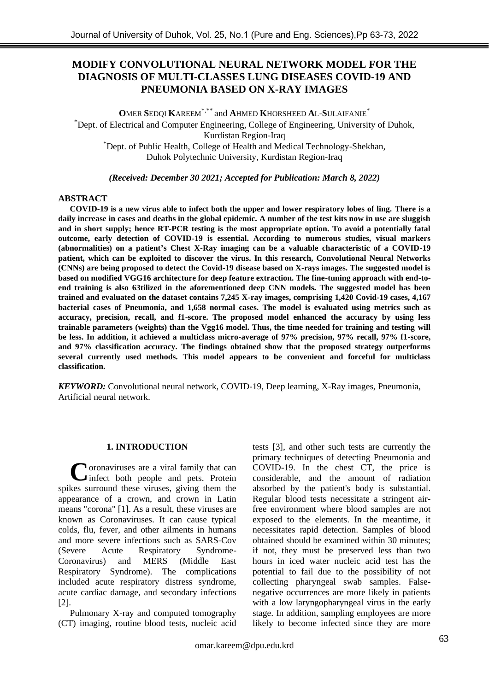# **MODIFY CONVOLUTIONAL NEURAL NETWORK MODEL FOR THE DIAGNOSIS OF MULTI-CLASSES LUNG DISEASES COVID-19 AND PNEUMONIA BASED ON X-RAY IMAGES**

**O**MER **S**EDQI **K**AREEM\*,\*\* and **A**HMED **K**HORSHEED **A**L-**S**ULAIFANIE\* \*Dept. of Electrical and Computer Engineering, College of Engineering, University of Duhok, Kurdistan Region-Iraq \*Dept. of Public Health, College of Health and Medical Technology-Shekhan, Duhok Polytechnic University, Kurdistan Region-Iraq

*(Received: December 30 2021; Accepted for Publication: March 8, 2022)*

## **ABSTRACT**

**COVID-19 is a new virus able to infect both the upper and lower respiratory lobes of ling. There is a daily increase in cases and deaths in the global epidemic. A number of the test kits now in use are sluggish and in short supply; hence RT-PCR testing is the most appropriate option. To avoid a potentially fatal outcome, early detection of COVID-19 is essential. According to numerous studies, visual markers (abnormalities) on a patient's Chest X-Ray imaging can be a valuable characteristic of a COVID-19 patient, which can be exploited to discover the virus. In this research, Convolutional Neural Networks (CNNs) are being proposed to detect the Covid-19 disease based on X-rays images. The suggested model is based on modified VGG16 architecture for deep feature extraction. The fine-tuning approach with end-toend training is also 63tilized in the aforementioned deep CNN models. The suggested model has been trained and evaluated on the dataset contains 7,245 X-ray images, comprising 1,420 Covid-19 cases, 4,167 bacterial cases of Pneumonia, and 1,658 normal cases. The model is evaluated using metrics such as accuracy, precision, recall, and f1-score. The proposed model enhanced the accuracy by using less trainable parameters (weights) than the Vgg16 model. Thus, the time needed for training and testing will be less. In addition, it achieved a multiclass micro-average of 97% precision, 97% recall, 97% f1-score, and 97% classification accuracy. The findings obtained show that the proposed strategy outperforms several currently used methods. This model appears to be convenient and forceful for multiclass classification.**

*KEYWORD:* Convolutional neural network, COVID-19, Deep learning, X-Ray images, Pneumonia, Artificial neural network.

## **1. INTRODUCTION**

**N**oronaviruses are a viral family that can infect both people and pets. Protein spikes surround these viruses, giving them the appearance of a crown, and crown in Latin means "corona" [1]. As a result, these viruses are known as Coronaviruses. It can cause typical colds, flu, fever, and other ailments in humans and more severe infections such as SARS-Cov (Severe Acute Respiratory Syndrome-Coronavirus) and MERS (Middle East Respiratory Syndrome). The complications included acute respiratory distress syndrome, acute cardiac damage, and secondary infections [2]. **C**

Pulmonary X-ray and computed tomography (CT) imaging, routine blood tests, nucleic acid tests [3], and other such tests are currently the primary techniques of detecting Pneumonia and COVID-19. In the chest CT, the price is considerable, and the amount of radiation absorbed by the patient's body is substantial. Regular blood tests necessitate a stringent airfree environment where blood samples are not exposed to the elements. In the meantime, it necessitates rapid detection. Samples of blood obtained should be examined within 30 minutes; if not, they must be preserved less than two hours in iced water nucleic acid test has the potential to fail due to the possibility of not collecting pharyngeal swab samples. Falsenegative occurrences are more likely in patients with a low laryngopharyngeal virus in the early stage. In addition, sampling employees are more likely to become infected since they are more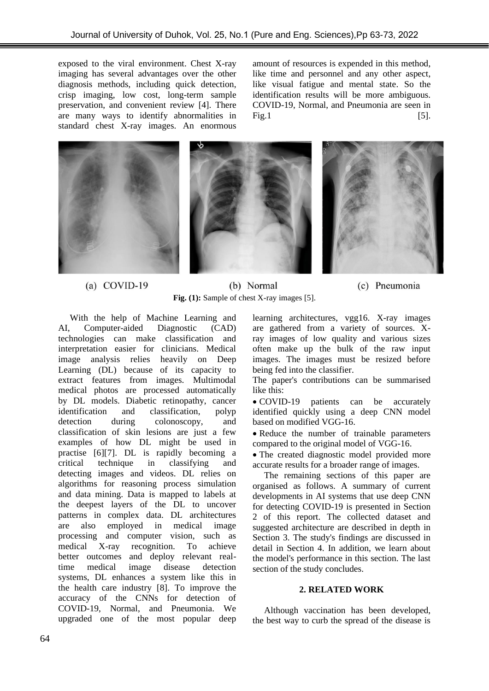exposed to the viral environment. Chest X-ray imaging has several advantages over the other diagnosis methods, including quick detection, crisp imaging, low cost, long-term sample preservation, and convenient review [4]. There are many ways to identify abnormalities in standard chest X-ray images. An enormous

amount of resources is expended in this method, like time and personnel and any other aspect, like visual fatigue and mental state. So the identification results will be more ambiguous. COVID-19, Normal, and Pneumonia are seen in Fig. 1  $\qquad \qquad \textbf{[5]}$ .



#### (a)  $COVID-19$

(b) Normal **Fig. (1):** Sample of chest X-ray images [5].



learning architectures, vgg16. X-ray images are gathered from a variety of sources. Xray images of low quality and various sizes often make up the bulk of the raw input images. The images must be resized before being fed into the classifier.

The paper's contributions can be summarised like this:

• COVID-19 patients can be accurately identified quickly using a deep CNN model based on modified VGG-16.

• Reduce the number of trainable parameters compared to the original model of VGG-16.

• The created diagnostic model provided more accurate results for a broader range of images.

The remaining sections of this paper are organised as follows. A summary of current developments in AI systems that use deep CNN for detecting COVID-19 is presented in Section 2 of this report. The collected dataset and suggested architecture are described in depth in Section 3. The study's findings are discussed in detail in Section 4. In addition, we learn about the model's performance in this section. The last section of the study concludes.

## **2. RELATED WORK**

Although vaccination has been developed, the best way to curb the spread of the disease is

technologies can make classification and interpretation easier for clinicians. Medical image analysis relies heavily on Deep Learning (DL) because of its capacity to extract features from images. Multimodal medical photos are processed automatically by DL models. Diabetic retinopathy, cancer identification and classification, polyp detection during colonoscopy, and classification of skin lesions are just a few examples of how DL might be used in practise [6][7]. DL is rapidly becoming a critical technique in classifying and detecting images and videos. DL relies on algorithms for reasoning process simulation and data mining. Data is mapped to labels at the deepest layers of the DL to uncover patterns in complex data. DL architectures are also employed in medical image processing and computer vision, such as medical X-ray recognition. To achieve better outcomes and deploy relevant realtime medical image disease detection systems, DL enhances a system like this in the health care industry [8]. To improve the accuracy of the CNNs for detection of COVID-19, Normal, and Pneumonia. We upgraded one of the most popular deep

With the help of Machine Learning and AI, Computer-aided Diagnostic (CAD)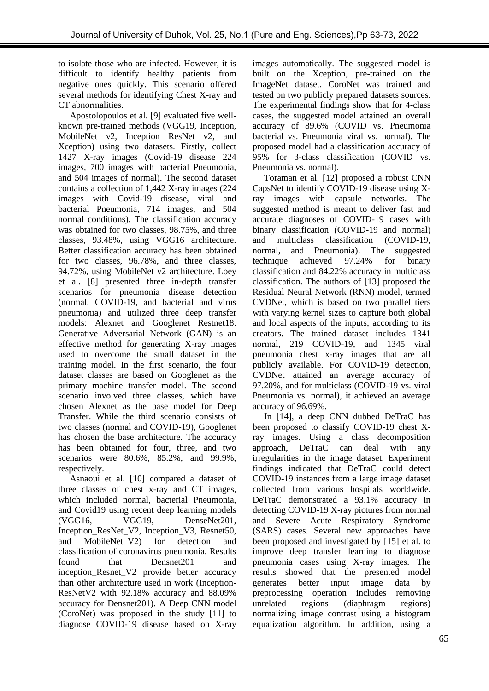to isolate those who are infected. However, it is difficult to identify healthy patients from negative ones quickly. This scenario offered several methods for identifying Chest X-ray and CT abnormalities.

Apostolopoulos et al. [9] evaluated five wellknown pre-trained methods (VGG19, Inception, MobileNet v2, Inception ResNet v2, and Xception) using two datasets. Firstly, collect 1427 X-ray images (Covid-19 disease 224 images, 700 images with bacterial Pneumonia, and 504 images of normal). The second dataset contains a collection of 1,442 X-ray images (224 images with Covid-19 disease, viral and bacterial Pneumonia, 714 images, and 504 normal conditions). The classification accuracy was obtained for two classes, 98.75%, and three classes, 93.48%, using VGG16 architecture. Better classification accuracy has been obtained for two classes, 96.78%, and three classes, 94.72%, using MobileNet v2 architecture. Loey et al. [8] presented three in-depth transfer scenarios for pneumonia disease detection (normal, COVID-19, and bacterial and virus pneumonia) and utilized three deep transfer models: Alexnet and Googlenet Restnet18. Generative Adversarial Network (GAN) is an effective method for generating X-ray images used to overcome the small dataset in the training model. In the first scenario, the four dataset classes are based on Googlenet as the primary machine transfer model. The second scenario involved three classes, which have chosen Alexnet as the base model for Deep Transfer. While the third scenario consists of two classes (normal and COVID-19), Googlenet has chosen the base architecture. The accuracy has been obtained for four, three, and two scenarios were 80.6%, 85.2%, and 99.9%, respectively.

Asnaoui et al. [10] compared a dataset of three classes of chest x-ray and CT images, which included normal, bacterial Pneumonia, and Covid19 using recent deep learning models (VGG16, VGG19, DenseNet201, Inception\_ResNet\_V2, Inception\_V3, Resnet50, and MobileNet\_V2) for detection and classification of coronavirus pneumonia. Results found that Densnet201 and inception\_Resnet\_V2 provide better accuracy than other architecture used in work (Inception-ResNetV2 with 92.18% accuracy and 88.09% accuracy for Densnet201). A Deep CNN model (CoroNet) was proposed in the study [11] to diagnose COVID-19 disease based on X-ray images automatically. The suggested model is built on the Xception, pre-trained on the ImageNet dataset. CoroNet was trained and tested on two publicly prepared datasets sources. The experimental findings show that for 4-class cases, the suggested model attained an overall accuracy of 89.6% (COVID vs. Pneumonia bacterial vs. Pneumonia viral vs. normal). The proposed model had a classification accuracy of 95% for 3-class classification (COVID vs. Pneumonia vs. normal).

Toraman et al. [12] proposed a robust CNN CapsNet to identify COVID-19 disease using Xray images with capsule networks. The suggested method is meant to deliver fast and accurate diagnoses of COVID-19 cases with binary classification (COVID-19 and normal) and multiclass classification (COVID-19, normal, and Pneumonia). The suggested technique achieved 97.24% for binary classification and 84.22% accuracy in multiclass classification. The authors of [13] proposed the Residual Neural Network (RNN) model, termed CVDNet, which is based on two parallel tiers with varying kernel sizes to capture both global and local aspects of the inputs, according to its creators. The trained dataset includes 1341 normal, 219 COVID-19, and 1345 viral pneumonia chest x-ray images that are all publicly available. For COVID-19 detection, CVDNet attained an average accuracy of 97.20%, and for multiclass (COVID-19 vs. viral Pneumonia vs. normal), it achieved an average accuracy of 96.69%.

In [14], a deep CNN dubbed DeTraC has been proposed to classify COVID-19 chest Xray images. Using a class decomposition approach, DeTraC can deal with any irregularities in the image dataset. Experiment findings indicated that DeTraC could detect COVID-19 instances from a large image dataset collected from various hospitals worldwide. DeTraC demonstrated a 93.1% accuracy in detecting COVID-19 X-ray pictures from normal and Severe Acute Respiratory Syndrome (SARS) cases. Several new approaches have been proposed and investigated by [15] et al. to improve deep transfer learning to diagnose pneumonia cases using X-ray images. The results showed that the presented model generates better input image data by preprocessing operation includes removing unrelated regions (diaphragm regions) normalizing image contrast using a histogram equalization algorithm. In addition, using a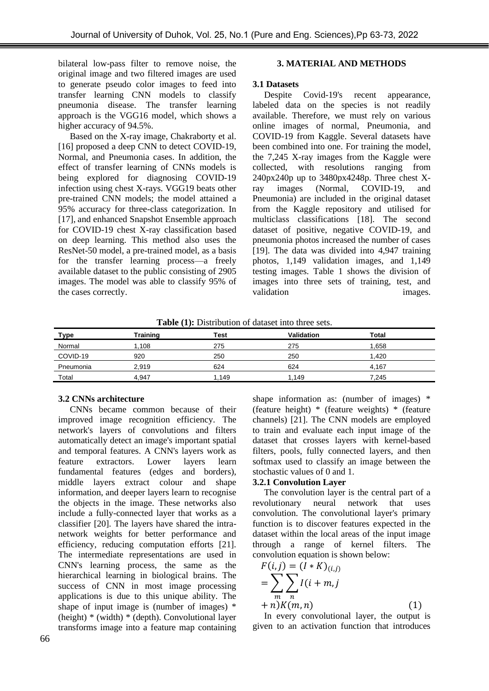bilateral low-pass filter to remove noise, the original image and two filtered images are used to generate pseudo color images to feed into transfer learning CNN models to classify pneumonia disease. The transfer learning approach is the VGG16 model, which shows a higher accuracy of 94.5%.

Based on the X-ray image, Chakraborty et al. [16] proposed a deep CNN to detect COVID-19, Normal, and Pneumonia cases. In addition, the effect of transfer learning of CNNs models is being explored for diagnosing COVID-19 infection using chest X-rays. VGG19 beats other pre-trained CNN models; the model attained a 95% accuracy for three-class categorization. In [17], and enhanced Snapshot Ensemble approach for COVID-19 chest X-ray classification based on deep learning. This method also uses the ResNet-50 model, a pre-trained model, as a basis for the transfer learning process—a freely available dataset to the public consisting of 2905 images. The model was able to classify 95% of the cases correctly.

## **3. MATERIAL AND METHODS**

#### **3.1 Datasets**

Despite Covid-19's recent appearance, labeled data on the species is not readily available. Therefore, we must rely on various online images of normal, Pneumonia, and COVID-19 from Kaggle. Several datasets have been combined into one. For training the model, the 7,245 X-ray images from the Kaggle were collected, with resolutions ranging from 240px240p up to 3480px4248p. Three chest Xray images (Normal, COVID-19, and Pneumonia) are included in the original dataset from the Kaggle repository and utilised for multiclass classifications [18]. The second dataset of positive, negative COVID-19, and pneumonia photos increased the number of cases [19]. The data was divided into 4,947 training photos, 1,149 validation images, and 1,149 testing images. Table 1 shows the division of images into three sets of training, test, and validation images.

**Table (1):** Distribution of dataset into three sets.

| <u>Type</u> | <b>Fraining</b> | Test | Validation | Total |
|-------------|-----------------|------|------------|-------|
| Normal      | .108            | 275  | 275        | 1,658 |
| COVID-19    | 920             | 250  | 250        | 1.420 |
| Pneumonia   | 2,919           | 624  | 624        | 4.167 |
| Total       | 4.947           | .149 | 1.149      | 7.245 |

## **3.2 CNNs architecture**

CNNs became common because of their improved image recognition efficiency. The network's layers of convolutions and filters automatically detect an image's important spatial and temporal features. A CNN's layers work as feature extractors. Lower layers learn fundamental features (edges and borders), middle layers extract colour and shape information, and deeper layers learn to recognise the objects in the image. These networks also include a fully-connected layer that works as a classifier [20]. The layers have shared the intranetwork weights for better performance and efficiency, reducing computation efforts [21]. The intermediate representations are used in CNN's learning process, the same as the hierarchical learning in biological brains. The success of CNN in most image processing applications is due to this unique ability. The shape of input image is (number of images) \* (height) \* (width) \* (depth). Convolutional layer transforms image into a feature map containing shape information as: (number of images) \* (feature height) \* (feature weights) \* (feature channels) [21]. The CNN models are employed to train and evaluate each input image of the dataset that crosses layers with kernel-based filters, pools, fully connected layers, and then softmax used to classify an image between the stochastic values of 0 and 1.

#### **3.2.1 Convolution Layer**

The convolution layer is the central part of a revolutionary neural network that uses convolution. The convolutional layer's primary function is to discover features expected in the dataset within the local areas of the input image through a range of kernel filters. The convolution equation is shown below:

$$
F(i, j) = (I * K)_{(i,j)}
$$
  
= 
$$
\sum_{m} \sum_{n} I(i + m, j + n) K(m, n)
$$
 (1)

In every convolutional layer, the output is given to an activation function that introduces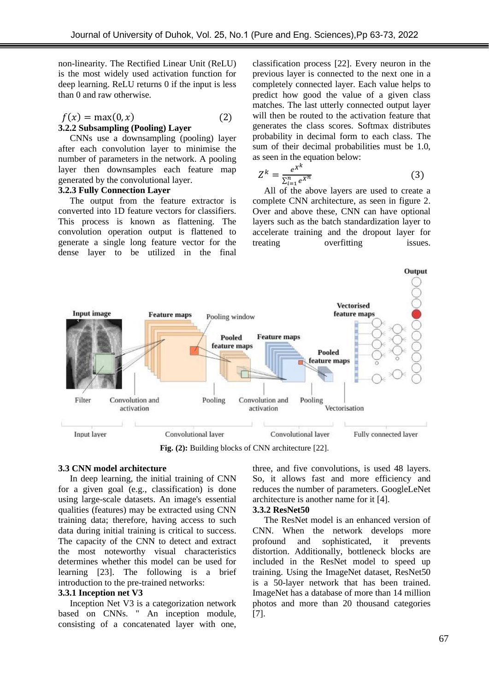non-linearity. The Rectified Linear Unit (ReLU) is the most widely used activation function for deep learning. ReLU returns 0 if the input is less than 0 and raw otherwise.

## $f(x) = \max(0, x)$  (2) **3.2.2 Subsampling (Pooling) Layer**

CNNs use a downsampling (pooling) layer after each convolution layer to minimise the number of parameters in the network. A pooling layer then downsamples each feature map generated by the convolutional layer.

## **3.2.3 Fully Connection Layer**

The output from the feature extractor is converted into 1D feature vectors for classifiers. This process is known as flattening. The convolution operation output is flattened to generate a single long feature vector for the dense layer to be utilized in the final classification process [22]. Every neuron in the previous layer is connected to the next one in a completely connected layer. Each value helps to predict how good the value of a given class matches. The last utterly connected output layer will then be routed to the activation feature that generates the class scores. Softmax distributes probability in decimal form to each class. The sum of their decimal probabilities must be 1.0, as seen in the equation below:

$$
Z^k = \frac{e^{X^k}}{\sum_{i=1}^n e^{X^n}}\tag{3}
$$

All of the above layers are used to create a complete CNN architecture, as seen in figure 2. Over and above these, CNN can have optional layers such as the batch standardization layer to accelerate training and the dropout layer for treating overfitting issues.



**Fig. (2):** Building blocks of CNN architecture [22].

#### **3.3 CNN model architecture**

In deep learning, the initial training of CNN for a given goal (e.g., classification) is done using large-scale datasets. An image's essential qualities (features) may be extracted using CNN training data; therefore, having access to such data during initial training is critical to success. The capacity of the CNN to detect and extract the most noteworthy visual characteristics determines whether this model can be used for learning [23]. The following is a brief introduction to the pre-trained networks:

## **3.3.1 Inception net V3**

Inception Net V3 is a categorization network based on CNNs. " An inception module, consisting of a concatenated layer with one,

three, and five convolutions, is used 48 layers. So, it allows fast and more efficiency and reduces the number of parameters. GoogleLeNet architecture is another name for it [4].

#### **3.3.2 ResNet50**

The ResNet model is an enhanced version of CNN. When the network develops more profound and sophisticated, it prevents distortion. Additionally, bottleneck blocks are included in the ResNet model to speed up training. Using the ImageNet dataset, ResNet50 is a 50-layer network that has been trained. ImageNet has a database of more than 14 million photos and more than 20 thousand categories [7].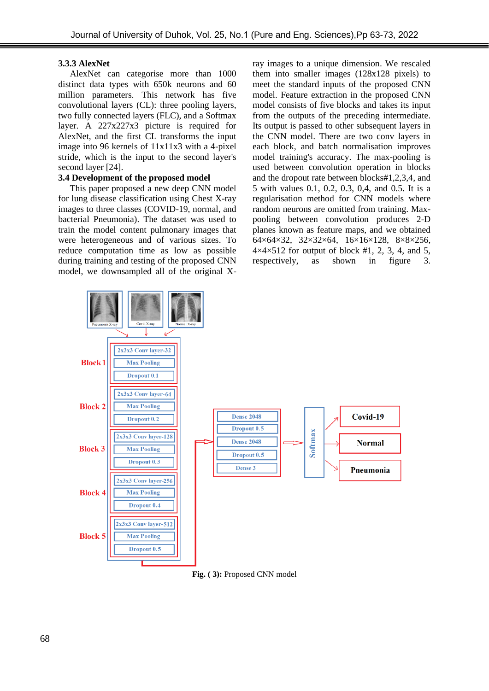#### **3.3.3 AlexNet**

AlexNet can categorise more than 1000 distinct data types with 650k neurons and 60 million parameters. This network has five convolutional layers (CL): three pooling layers, two fully connected layers (FLC), and a Softmax layer. A 227x227x3 picture is required for AlexNet, and the first CL transforms the input image into 96 kernels of 11x11x3 with a 4-pixel stride, which is the input to the second layer's second layer [24].

## **3.4 Development of the proposed model**

This paper proposed a new deep CNN model for lung disease classification using Chest X-ray images to three classes (COVID-19, normal, and bacterial Pneumonia). The dataset was used to train the model content pulmonary images that were heterogeneous and of various sizes. To reduce computation time as low as possible during training and testing of the proposed CNN model, we downsampled all of the original X-

ray images to a unique dimension. We rescaled them into smaller images (128x128 pixels) to meet the standard inputs of the proposed CNN model. Feature extraction in the proposed CNN model consists of five blocks and takes its input from the outputs of the preceding intermediate. Its output is passed to other subsequent layers in the CNN model. There are two conv layers in each block, and batch normalisation improves model training's accuracy. The max-pooling is used between convolution operation in blocks and the dropout rate between blocks#1,2,3,4, and 5 with values 0.1, 0.2, 0.3, 0,4, and 0.5. It is a regularisation method for CNN models where random neurons are omitted from training. Maxpooling between convolution produces 2-D planes known as feature maps, and we obtained 64×64×32, 32×32×64, 16×16×128, 8×8×256,  $4\times4\times512$  for output of block #1, 2, 3, 4, and 5, respectively, as shown in figure 3.



**Fig. ( 3):** Proposed CNN model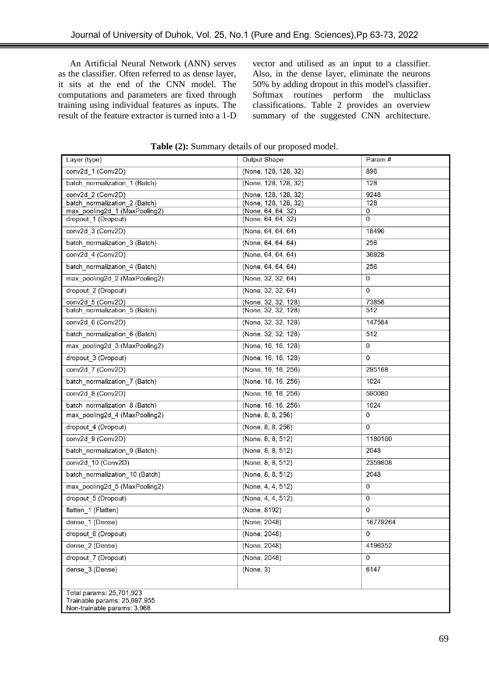An Artificial Neural Network (ANN) serves as the classifier. Often referred to as dense layer, it sits at the end of the CNN model. The computations and parameters are fixed through training using individual features as inputs. The result of the feature extractor is turned into a 1-D vector and utilised as an input to a classifier. Also, in the dense layer, eliminate the neurons 50% by adding dropout in this model's classifier. Softmax routines perform the multiclass classifications. Table 2 provides an overview summary of the suggested CNN architecture.

| Layer (type)                                                                            | Output Shape         | Param#   |  |
|-----------------------------------------------------------------------------------------|----------------------|----------|--|
| conv2d 1 (Conv2D)                                                                       | (None, 128, 128, 32) | 896      |  |
| batch normalization 1 (Batch)                                                           | (None, 128, 128, 32) | 128      |  |
| conv2d 2 (Conv2D)                                                                       | (None, 128, 128, 32) | 9248     |  |
| batch normalization 2 (Batch)                                                           | (None, 128, 128, 32) | 128      |  |
| max_pooling2d_1 (MaxPooling2)                                                           | (None, 64, 64, 32)   | 0        |  |
| dropout_1 (Dropout)                                                                     | (None, 64, 64, 32)   | 0        |  |
| conv2d 3 (Conv2D)                                                                       | (None, 64, 64, 64)   | 18496    |  |
| batch_normalization_3 (Batch)                                                           | (None, 64, 64, 64)   | 256      |  |
| conv2d 4 (Conv2D)                                                                       | (None, 64, 64, 64)   | 36928    |  |
| batch_normalization_4 (Batch)                                                           | (None, 64, 64, 64)   | 256      |  |
| max_pooling2d_2 (MaxPooling2)                                                           | (None, 32, 32, 64)   | 0        |  |
| dropout 2 (Dropout)                                                                     | (None, 32, 32, 64)   | 0        |  |
| conv2d 5 (Conv2D)                                                                       | (None, 32, 32, 128)  | 73856    |  |
| batch normalization 5 (Batch)                                                           | (None, 32, 32, 128)  | 512      |  |
| conv2d 6 (Conv2D)                                                                       | (None, 32, 32, 128)  | 147584   |  |
| batch_normalization_6 (Batch)                                                           | (None, 32, 32, 128)  | 512      |  |
| max pooling2d 3 (MaxPooling2)                                                           | (None, 16, 16, 128)  | 0        |  |
| dropout 3 (Dropout)                                                                     | (None, 16, 16, 128)  | 0        |  |
| conv2d_7 (Conv2D)                                                                       | (None, 16, 16, 256)  | 295168   |  |
| batch_normalization_7 (Batch)                                                           | (None, 16, 16, 256)  | 1024     |  |
| conv2d 8 (Conv2D)                                                                       | (None, 16, 16, 256)  | 590080   |  |
| batch normalization 8 (Batch)                                                           | (None, 16, 16, 256)  | 1024     |  |
| max_pooling2d_4 (MaxPooling2)                                                           | (None, 8, 8, 256)    | 0        |  |
| dropout 4 (Dropout)                                                                     | (None, 8, 8, 256)    | 0        |  |
| conv2d_9 (Conv2D)                                                                       | (None, 8, 8, 512)    | 1180160  |  |
| batch_normalization_9 (Batch)                                                           | (None, 8, 8, 512)    | 2048     |  |
| conv2d_10 (Conv2D)                                                                      | (None, 8, 8, 512)    | 2359808  |  |
| batch normalization 10 (Batch)                                                          | (None, 8, 8, 512)    | 2048     |  |
| max pooling2d 5 (MaxPooling2)                                                           | (None, 4, 4, 512)    | 0        |  |
| dropout_5 (Dropout)                                                                     | (None, 4, 4, 512)    | 0        |  |
| flatten_1 (Flatten)                                                                     | (None, 8192)         | 0        |  |
| dense 1 (Dense)                                                                         | (None, 2048)         | 16779264 |  |
| dropout 6 (Dropout)                                                                     | (None, 2048)         | 0        |  |
| dense 2 (Dense)                                                                         | (None, 2048)         | 4196352  |  |
| dropout 7 (Dropout)                                                                     | (None, 2048)         | 0        |  |
| dense 3 (Dense)                                                                         | (None, 3)            | 6147     |  |
| Total params: 25,701,923<br>Trainable params: 25.697.955<br>Non-trainable params: 3.968 |                      |          |  |

**Table (2):** Summary details of our proposed model.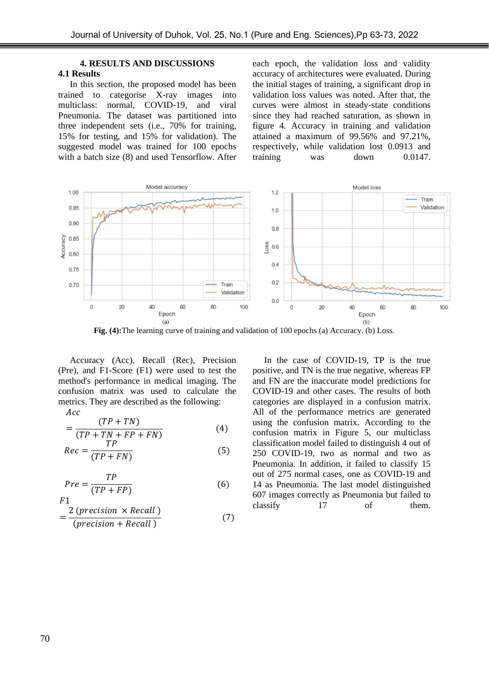# **4. RESULTS AND DISCUSSIONS**

## **4.1 Results**

In this section, the proposed model has been trained to categorise X-ray images into multiclass: normal, COVID-19, and viral Pneumonia. The dataset was partitioned into three independent sets (i.e., 70% for training, 15% for testing, and 15% for validation). The suggested model was trained for 100 epochs with a batch size (8) and used Tensorflow. After each epoch, the validation loss and validity accuracy of architectures were evaluated. During the initial stages of training, a significant drop in validation loss values was noted. After that, the curves were almost in steady-state conditions since they had reached saturation, as shown in figure 4. Accuracy in training and validation attained a maximum of 99.56% and 97.21%, respectively, while validation lost 0.0913 and training was down 0.0147.



**Fig. (4):**The learning curve of training and validation of 100 epochs (a) Accuracy. (b) Loss.

Accuracy (Acc), Recall (Rec), Precision (Pre), and F1-Score (F1) were used to test the method's performance in medical imaging. The confusion matrix was used to calculate the metrics. They are described as the following:  $Acc$ 

$$
= \frac{(TP + TN)}{(TP + TN + FP + FN)}
$$
(4)

$$
Rec = \frac{TP}{(TP + FN)}
$$
 (5)

$$
Pre = \frac{TP}{(TP + FP)}
$$
 (6)

$$
F1
$$
  
= 
$$
\frac{2 (precision \times Recall)}{(precision + Recall}
$$
 (7)

In the case of COVID-19, TP is the true positive, and TN is the true negative, whereas FP and FN are the inaccurate model predictions for COVID-19 and other cases. The results of both categories are displayed in a confusion matrix. All of the performance metrics are generated using the confusion matrix. According to the confusion matrix in Figure 5, our multiclass classification model failed to distinguish 4 out of 250 COVID-19, two as normal and two as Pneumonia. In addition, it failed to classify 15 out of 275 normal cases, one as COVID-19 and 14 as Pneumonia. The last model distinguished 607 images correctly as Pneumonia but failed to classify 17 of them.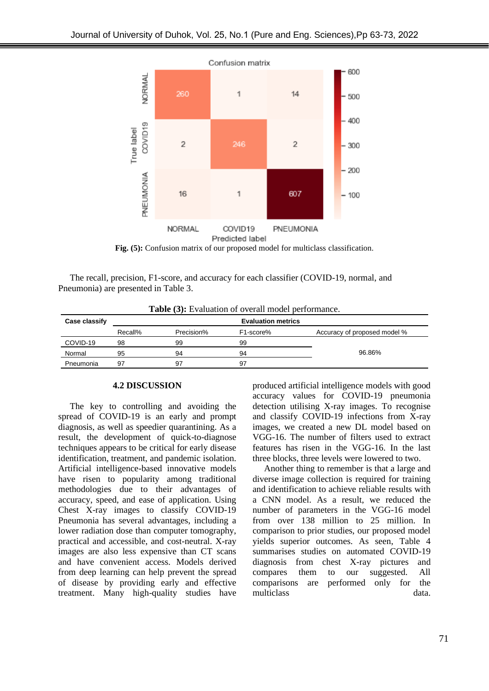

Fig. (5): Confusion matrix of our proposed model for multiclass classification.

The recall, precision, F1-score, and accuracy for each classifier (COVID-19, normal, and Pneumonia) are presented in Table 3.

| <b>Table (3):</b> Evaluation of overall model performance. |                           |            |                        |                              |  |  |
|------------------------------------------------------------|---------------------------|------------|------------------------|------------------------------|--|--|
| Case classify                                              | <b>Evaluation metrics</b> |            |                        |                              |  |  |
|                                                            | Recall%                   | Precision% | F <sub>1</sub> -score% | Accuracy of proposed model % |  |  |
| COVID-19                                                   | 98                        | 99         | 99                     |                              |  |  |
| Normal                                                     | 95                        | 94         | 94                     | 96.86%                       |  |  |
| Pneumonia                                                  | 97                        | 97         | 97                     |                              |  |  |

**Table (3):** Evaluation of overall model performance.

#### **4.2 DISCUSSION**

The key to controlling and avoiding the spread of COVID-19 is an early and prompt diagnosis, as well as speedier quarantining. As a result, the development of quick-to-diagnose techniques appears to be critical for early disease identification, treatment, and pandemic isolation. Artificial intelligence-based innovative models have risen to popularity among traditional methodologies due to their advantages of accuracy, speed, and ease of application. Using Chest X-ray images to classify COVID-19 Pneumonia has several advantages, including a lower radiation dose than computer tomography, practical and accessible, and cost-neutral. X-ray images are also less expensive than CT scans and have convenient access. Models derived from deep learning can help prevent the spread of disease by providing early and effective treatment. Many high-quality studies have produced artificial intelligence models with good accuracy values for COVID-19 pneumonia detection utilising X-ray images. To recognise and classify COVID-19 infections from X-ray images, we created a new DL model based on VGG-16. The number of filters used to extract features has risen in the VGG-16. In the last three blocks, three levels were lowered to two.

Another thing to remember is that a large and diverse image collection is required for training and identification to achieve reliable results with a CNN model. As a result, we reduced the number of parameters in the VGG-16 model from over 138 million to 25 million. In comparison to prior studies, our proposed model yields superior outcomes. As seen, Table 4 summarises studies on automated COVID-19 diagnosis from chest X-ray pictures and compares them to our suggested. All comparisons are performed only for the multiclass data.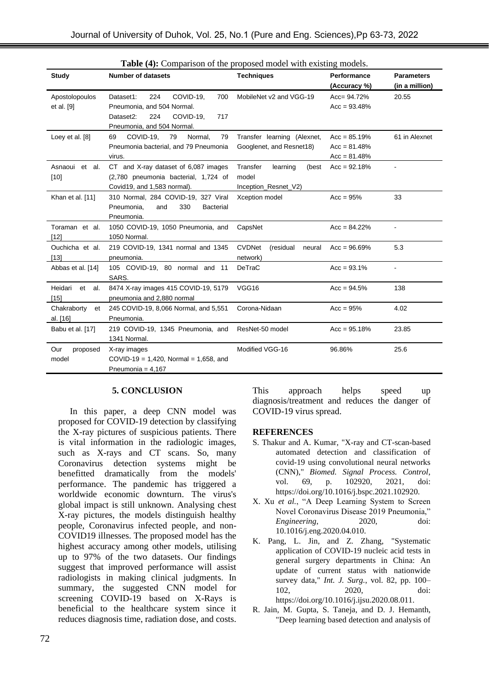| <b>Study</b>                  | <b>Number of datasets</b>                                                                                                                | <b>Techniques</b>                                              | Performance<br>(Accuracy %)                        | <b>Parameters</b><br>(in a million) |
|-------------------------------|------------------------------------------------------------------------------------------------------------------------------------------|----------------------------------------------------------------|----------------------------------------------------|-------------------------------------|
| Apostolopoulos<br>et al. [9]  | 224<br>COVID-19,<br>700<br>Dataset1:<br>Pneumonia, and 504 Normal.<br>Dataset2:<br>224<br>COVID-19,<br>717<br>Pneumonia, and 504 Normal. | MobileNet v2 and VGG-19                                        | $Acc = 94.72%$<br>$Acc = 93.48%$                   | 20.55                               |
| Loey et al. [8]               | COVID-19,<br>79<br>Normal,<br>79<br>69<br>Pneumonia bacterial, and 79 Pneumonia<br>virus.                                                | Transfer learning (Alexnet,<br>Googlenet, and Resnet18)        | $Acc = 85.19%$<br>$Acc = 81.48%$<br>$Acc = 81.48%$ | 61 in Alexnet                       |
| Asnaoui et al.<br>$[10]$      | CT and X-ray dataset of 6,087 images<br>(2,780 pneumonia bacterial, 1,724 of<br>Covid19, and 1,583 normal).                              | Transfer<br>learning<br>(best<br>model<br>Inception_Resnet_V2) | $Acc = 92.18%$                                     |                                     |
| Khan et al. [11]              | 310 Normal, 284 COVID-19, 327 Viral<br>Pneumonia,<br>330<br><b>Bacterial</b><br>and<br>Pneumonia.                                        | Xception model                                                 | $Acc = 95%$                                        | 33                                  |
| Toraman et al.<br>$[12]$      | 1050 COVID-19, 1050 Pneumonia, and<br>1050 Normal.                                                                                       | CapsNet                                                        | $Acc = 84.22%$                                     |                                     |
| Ouchicha et al.<br>$[13]$     | 219 COVID-19, 1341 normal and 1345<br>pneumonia.                                                                                         | <b>CVDNet</b><br>(residual<br>neural<br>network)               | $Acc = 96.69\%$                                    | 5.3                                 |
| Abbas et al. [14]             | 105 COVID-19, 80 normal and 11<br>SARS.                                                                                                  | DeTraC                                                         | $Acc = 93.1%$                                      |                                     |
| Heidari et al.<br>[15]        | 8474 X-ray images 415 COVID-19, 5179<br>pneumonia and 2,880 normal                                                                       | VGG16                                                          | $Acc = 94.5%$                                      | 138                                 |
| Chakraborty<br>et<br>al. [16] | 245 COVID-19, 8,066 Normal, and 5,551<br>Pneumonia.                                                                                      | Corona-Nidaan                                                  | $Acc = 95%$                                        | 4.02                                |
| Babu et al. [17]              | 219 COVID-19, 1345 Pneumonia, and<br>1341 Normal.                                                                                        | ResNet-50 model                                                | $Acc = 95.18%$                                     | 23.85                               |
| Our<br>proposed<br>model      | X-ray images<br>COVID-19 = 1,420, Normal = 1,658, and<br>Pneumonia = $4,167$                                                             | Modified VGG-16                                                | 96.86%                                             | 25.6                                |

**Table (4):** Comparison of the proposed model with existing models.

## **5. CONCLUSION**

In this paper, a deep CNN model was proposed for COVID-19 detection by classifying the X-ray pictures of suspicious patients. There is vital information in the radiologic images, such as X-rays and CT scans. So, many Coronavirus detection systems might be benefitted dramatically from the models' performance. The pandemic has triggered a worldwide economic downturn. The virus's global impact is still unknown. Analysing chest X-ray pictures, the models distinguish healthy people, Coronavirus infected people, and non-COVID19 illnesses. The proposed model has the highest accuracy among other models, utilising up to 97% of the two datasets. Our findings suggest that improved performance will assist radiologists in making clinical judgments. In summary, the suggested CNN model for screening COVID-19 based on X-Rays is beneficial to the healthcare system since it reduces diagnosis time, radiation dose, and costs.

This approach helps speed up diagnosis/treatment and reduces the danger of COVID-19 virus spread.

## **REFERENCES**

- S. Thakur and A. Kumar, "X-ray and CT-scan-based automated detection and classification of covid-19 using convolutional neural networks (CNN)," *Biomed. Signal Process. Control*, vol. 69, p. 102920, 2021, doi: https://doi.org/10.1016/j.bspc.2021.102920.
- X. Xu *et al.*, "A Deep Learning System to Screen Novel Coronavirus Disease 2019 Pneumonia," *Engineering*, 2020, doi: 10.1016/j.eng.2020.04.010.
- K. Pang, L. Jin, and Z. Zhang, "Systematic application of COVID-19 nucleic acid tests in general surgery departments in China: An update of current status with nationwide survey data," *Int. J. Surg.*, vol. 82, pp. 100– 102, 2020, doi: https://doi.org/10.1016/j.ijsu.2020.08.011.
- R. Jain, M. Gupta, S. Taneja, and D. J. Hemanth, "Deep learning based detection and analysis of